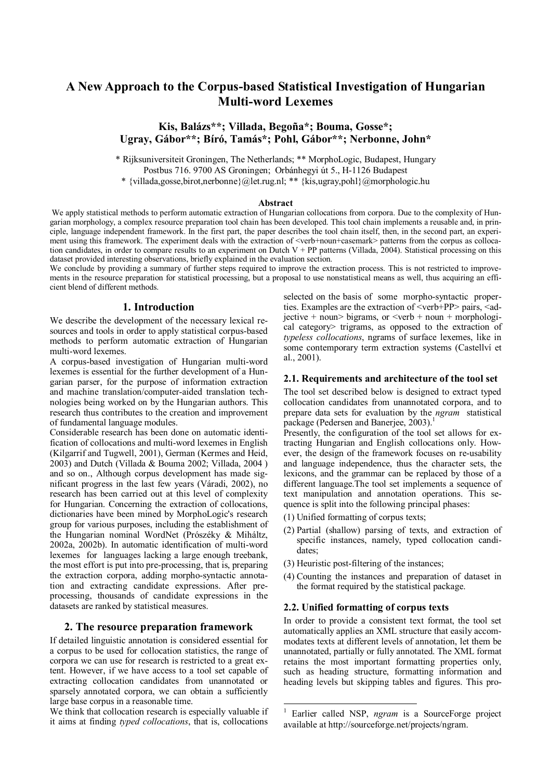# **A New Approach to the Corpus-based Statistical Investigation of Hungarian Multi-word Lexemes**

**Kis, Balázs\*\*; Villada, Begoña\*; Bouma, Gosse\*; Ugray, Gábor\*\*; Bíró, Tamás\*; Pohl, Gábor\*\*; Nerbonne, John\*** 

\* Rijksuniversiteit Groningen, The Netherlands; \*\* MorphoLogic, Budapest, Hungary

Postbus 716. 9700 AS Groningen; Orbánhegyi út 5., H-1126 Budapest

\* {villada,gosse,birot,nerbonne}@let.rug.nl; \*\* {kis,ugray,pohl}@morphologic.hu

#### **Abstract**

We apply statistical methods to perform automatic extraction of Hungarian collocations from corpora. Due to the complexity of Hungarian morphology, a complex resource preparation tool chain has been developed. This tool chain implements a reusable and, in principle, language independent framework. In the first part, the paper describes the tool chain itself, then, in the second part, an experiment using this framework. The experiment deals with the extraction of <verb+noun+casemark> patterns from the corpus as collocation candidates, in order to compare results to an experiment on Dutch  $V + PP$  patterns (Villada, 2004). Statistical processing on this dataset provided interesting observations, briefly explained in the evaluation section.

We conclude by providing a summary of further steps required to improve the extraction process. This is not restricted to improvements in the resource preparation for statistical processing, but a proposal to use nonstatistical means as well, thus acquiring an efficient blend of different methods.

### **1. Introduction**

We describe the development of the necessary lexical resources and tools in order to apply statistical corpus-based methods to perform automatic extraction of Hungarian multi-word lexemes.

A corpus-based investigation of Hungarian multi-word lexemes is essential for the further development of a Hungarian parser, for the purpose of information extraction and machine translation/computer-aided translation technologies being worked on by the Hungarian authors. This research thus contributes to the creation and improvement of fundamental language modules.

Considerable research has been done on automatic identification of collocations and multi-word lexemes in English (Kilgarrif and Tugwell, 2001), German (Kermes and Heid, 2003) and Dutch (Villada & Bouma 2002; Villada, 2004 ) and so on., Although corpus development has made significant progress in the last few years (Váradi, 2002), no research has been carried out at this level of complexity for Hungarian. Concerning the extraction of collocations, dictionaries have been mined by MorphoLogic's research group for various purposes, including the establishment of the Hungarian nominal WordNet (Prószéky & Miháltz, 2002a, 2002b). In automatic identification of multi-word lexemes for languages lacking a large enough treebank, the most effort is put into pre-processing, that is, preparing the extraction corpora, adding morpho-syntactic annotation and extracting candidate expressions. After preprocessing, thousands of candidate expressions in the datasets are ranked by statistical measures.

#### **2. The resource preparation framework**

If detailed linguistic annotation is considered essential for a corpus to be used for collocation statistics, the range of corpora we can use for research is restricted to a great extent. However, if we have access to a tool set capable of extracting collocation candidates from unannotated or sparsely annotated corpora, we can obtain a sufficiently large base corpus in a reasonable time.

We think that collocation research is especially valuable if it aims at finding *typed collocations*, that is, collocations

selected on the basis of some morpho-syntactic properties. Examples are the extraction of  $\langle\text{verb+PP}\rangle$  pairs,  $\langle\text{ad-}$ jective + noun> bigrams, or  $\le$ verb + noun + morphological category> trigrams, as opposed to the extraction of *typeless collocations*, ngrams of surface lexemes, like in some contemporary term extraction systems (Castellví et al., 2001).

#### **2.1. Requirements and architecture of the tool set**

The tool set described below is designed to extract typed collocation candidates from unannotated corpora, and to prepare data sets for evaluation by the *ngram* statistical package (Pedersen and Banerjee, 2003).<sup>1</sup>

Presently, the configuration of the tool set allows for extracting Hungarian and English collocations only. However, the design of the framework focuses on re-usability and language independence, thus the character sets, the lexicons, and the grammar can be replaced by those of a different language.The tool set implements a sequence of text manipulation and annotation operations. This sequence is split into the following principal phases:

- (1) Unified formatting of corpus texts;
- (2) Partial (shallow) parsing of texts, and extraction of specific instances, namely, typed collocation candidates;
- (3) Heuristic post-filtering of the instances;
- (4) Counting the instances and preparation of dataset in the format required by the statistical package.

#### **2.2. Unified formatting of corpus texts**

In order to provide a consistent text format, the tool set automatically applies an XML structure that easily accommodates texts at different levels of annotation, let them be unannotated, partially or fully annotated. The XML format retains the most important formatting properties only, such as heading structure, formatting information and heading levels but skipping tables and figures. This pro-

<sup>&</sup>lt;sup>1</sup> Earlier called NSP, *ngram* is a SourceForge project available at http://sourceforge.net/projects/ngram.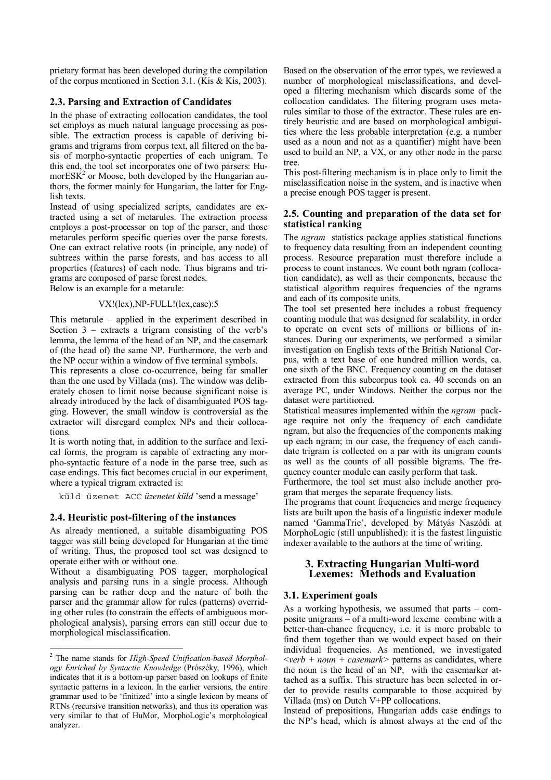prietary format has been developed during the compilation of the corpus mentioned in Section 3.1. (Kis & Kis, 2003).

# **2.3. Parsing and Extraction of Candidates**

In the phase of extracting collocation candidates, the tool set employs as much natural language processing as possible. The extraction process is capable of deriving bigrams and trigrams from corpus text, all filtered on the basis of morpho-syntactic properties of each unigram. To this end, the tool set incorporates one of two parsers: Hu $moreSK<sup>2</sup>$  or Moose, both developed by the Hungarian authors, the former mainly for Hungarian, the latter for English texts.

Instead of using specialized scripts, candidates are extracted using a set of metarules. The extraction process employs a post-processor on top of the parser, and those metarules perform specific queries over the parse forests. One can extract relative roots (in principle, any node) of subtrees within the parse forests, and has access to all properties (features) of each node. Thus bigrams and trigrams are composed of parse forest nodes.

Below is an example for a metarule:

# VX!(lex),NP-FULL!(lex,case):5

This metarule – applied in the experiment described in Section  $3$  – extracts a trigram consisting of the verb's lemma, the lemma of the head of an NP, and the casemark of (the head of) the same NP. Furthermore, the verb and the NP occur within a window of five terminal symbols.

This represents a close co-occurrence, being far smaller than the one used by Villada (ms). The window was deliberately chosen to limit noise because significant noise is already introduced by the lack of disambiguated POS tagging. However, the small window is controversial as the extractor will disregard complex NPs and their collocations.

It is worth noting that, in addition to the surface and lexical forms, the program is capable of extracting any morpho-syntactic feature of a node in the parse tree, such as case endings. This fact becomes crucial in our experiment, where a typical trigram extracted is:

küld üzenet ACC *üzenetet küld* 'send a message'

# **2.4. Heuristic post-filtering of the instances**

As already mentioned, a suitable disambiguating POS tagger was still being developed for Hungarian at the time of writing. Thus, the proposed tool set was designed to operate either with or without one.

Without a disambiguating POS tagger, morphological analysis and parsing runs in a single process. Although parsing can be rather deep and the nature of both the parser and the grammar allow for rules (patterns) overriding other rules (to constrain the effects of ambiguous morphological analysis), parsing errors can still occur due to morphological misclassification.

Based on the observation of the error types, we reviewed a number of morphological misclassifications, and developed a filtering mechanism which discards some of the collocation candidates. The filtering program uses metarules similar to those of the extractor. These rules are entirely heuristic and are based on morphological ambiguities where the less probable interpretation (e.g. a number used as a noun and not as a quantifier) might have been used to build an NP, a VX, or any other node in the parse tree.

This post-filtering mechanism is in place only to limit the misclassification noise in the system, and is inactive when a precise enough POS tagger is present.

### **2.5. Counting and preparation of the data set for statistical ranking**

The *ngram* statistics package applies statistical functions to frequency data resulting from an independent counting process. Resource preparation must therefore include a process to count instances. We count both ngram (collocation candidate), as well as their components, because the statistical algorithm requires frequencies of the ngrams and each of its composite units.

The tool set presented here includes a robust frequency counting module that was designed for scalability, in order to operate on event sets of millions or billions of instances. During our experiments, we performed a similar investigation on English texts of the British National Corpus, with a text base of one hundred million words, ca. one sixth of the BNC. Frequency counting on the dataset extracted from this subcorpus took ca. 40 seconds on an average PC, under Windows. Neither the corpus nor the dataset were partitioned.

Statistical measures implemented within the *ngram* package require not only the frequency of each candidate ngram, but also the frequencies of the components making up each ngram; in our case, the frequency of each candidate trigram is collected on a par with its unigram counts as well as the counts of all possible bigrams. The frequency counter module can easily perform that task.

Furthermore, the tool set must also include another program that merges the separate frequency lists.

The programs that count frequencies and merge frequency lists are built upon the basis of a linguistic indexer module named 'GammaTrie', developed by Mátyás Naszódi at MorphoLogic (still unpublished): it is the fastest linguistic indexer available to the authors at the time of writing.

# **3. Extracting Hungarian Multi-word Lexemes: Methods and Evaluation**

# **3.1. Experiment goals**

As a working hypothesis, we assumed that parts – composite unigrams – of a multi-word lexeme combine with a better-than-chance frequency, i.e. it is more probable to find them together than we would expect based on their individual frequencies. As mentioned, we investigated  $\leq$ *verb* + *noun* + *casemark* > patterns as candidates, where the noun is the head of an NP, with the casemarker attached as a suffix. This structure has been selected in order to provide results comparable to those acquired by Villada (ms) on Dutch V+PP collocations.

Instead of prepositions, Hungarian adds case endings to the NP's head, which is almost always at the end of the

 2 The name stands for *High-Speed Unification-based Morphology Enriched by Syntactic Knowledge* (Prószéky, 1996), which indicates that it is a bottom-up parser based on lookups of finite syntactic patterns in a lexicon. In the earlier versions, the entire grammar used to be 'finitized' into a single lexicon by means of RTNs (recursive transition networks), and thus its operation was very similar to that of HuMor, MorphoLogic's morphological analyzer.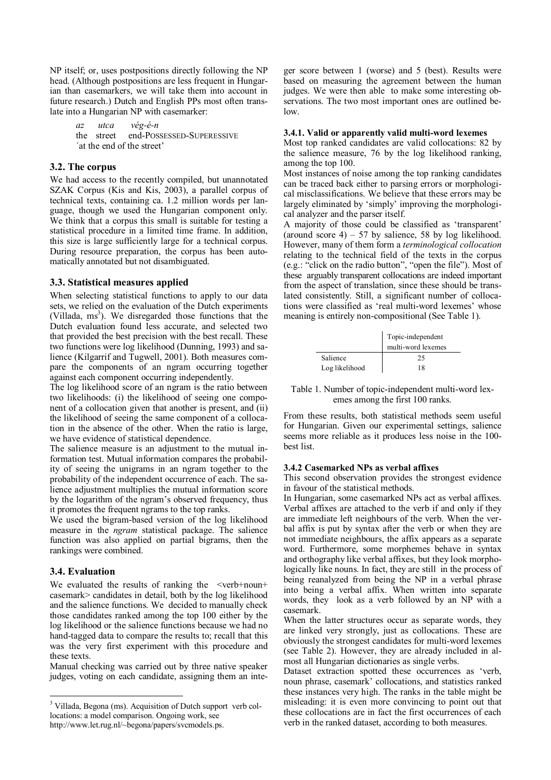NP itself; or, uses postpositions directly following the NP head. (Although postpositions are less frequent in Hungarian than casemarkers, we will take them into account in future research.) Dutch and English PPs most often translate into a Hungarian NP with casemarker:

> *az utca vég-é-n*  the street end-POSSESSED-SUPERESSIVE ΄at the end of the street'

### **3.2. The corpus**

We had access to the recently compiled, but unannotated SZAK Corpus (Kis and Kis, 2003), a parallel corpus of technical texts, containing ca. 1.2 million words per language, though we used the Hungarian component only. We think that a corpus this small is suitable for testing a statistical procedure in a limited time frame. In addition, this size is large sufficiently large for a technical corpus. During resource preparation, the corpus has been automatically annotated but not disambiguated.

# **3.3. Statistical measures applied**

When selecting statistical functions to apply to our data sets, we relied on the evaluation of the Dutch experiments (Villada,  $ms<sup>3</sup>$ ). We disregarded those functions that the Dutch evaluation found less accurate, and selected two that provided the best precision with the best recall. These two functions were log likelihood (Dunning, 1993) and salience (Kilgarrif and Tugwell, 2001). Both measures compare the components of an ngram occurring together against each component occurring independently.

The log likelihood score of an ngram is the ratio between two likelihoods: (i) the likelihood of seeing one component of a collocation given that another is present, and (ii) the likelihood of seeing the same component of a collocation in the absence of the other. When the ratio is large, we have evidence of statistical dependence.

The salience measure is an adjustment to the mutual information test. Mutual information compares the probability of seeing the unigrams in an ngram together to the probability of the independent occurrence of each. The salience adjustment multiplies the mutual information score by the logarithm of the ngram's observed frequency, thus it promotes the frequent ngrams to the top ranks.

We used the bigram-based version of the log likelihood measure in the *ngram* statistical package. The salience function was also applied on partial bigrams, then the rankings were combined.

# **3.4. Evaluation**

 $\overline{a}$ 

We evaluated the results of ranking the  $\leq$ verb+noun+ casemark> candidates in detail, both by the log likelihood and the salience functions. We decided to manually check those candidates ranked among the top 100 either by the log likelihood or the salience functions because we had no hand-tagged data to compare the results to; recall that this was the very first experiment with this procedure and these texts.

Manual checking was carried out by three native speaker judges, voting on each candidate, assigning them an integer score between 1 (worse) and 5 (best). Results were based on measuring the agreement between the human judges. We were then able to make some interesting observations. The two most important ones are outlined below.

#### **3.4.1. Valid or apparently valid multi-word lexemes**

Most top ranked candidates are valid collocations: 82 by the salience measure, 76 by the log likelihood ranking, among the top 100.

Most instances of noise among the top ranking candidates can be traced back either to parsing errors or morphological misclassifications. We believe that these errors may be largely eliminated by 'simply' improving the morphological analyzer and the parser itself.

A majority of those could be classified as 'transparent' (around score 4) – 57 by salience, 58 by log likelihood. However, many of them form a *terminological collocation* relating to the technical field of the texts in the corpus (e.g.: "click on the radio button", "open the file"). Most of these arguably transparent collocations are indeed important from the aspect of translation, since these should be translated consistently. Still, a significant number of collocations were classified as 'real multi-word lexemes' whose meaning is entirely non-compositional (See Table 1).

|                | Topic-independent<br>multi-word lexemes |
|----------------|-----------------------------------------|
| Salience       | 25                                      |
| Log likelihood | 18                                      |

Table 1. Number of topic-independent multi-word lexemes among the first 100 ranks.

From these results, both statistical methods seem useful for Hungarian. Given our experimental settings, salience seems more reliable as it produces less noise in the 100 best list.

#### **3.4.2 Casemarked NPs as verbal affixes**

This second observation provides the strongest evidence in favour of the statistical methods.

In Hungarian, some casemarked NPs act as verbal affixes. Verbal affixes are attached to the verb if and only if they are immediate left neighbours of the verb. When the verbal affix is put by syntax after the verb or when they are not immediate neighbours, the affix appears as a separate word. Furthermore, some morphemes behave in syntax and orthography like verbal affixes, but they look morphologically like nouns. In fact, they are still in the process of being reanalyzed from being the NP in a verbal phrase into being a verbal affix. When written into separate words, they look as a verb followed by an NP with a casemark.

When the latter structures occur as separate words, they are linked very strongly, just as collocations. These are obviously the strongest candidates for multi-word lexemes (see Table 2). However, they are already included in almost all Hungarian dictionaries as single verbs.

Dataset extraction spotted these occurrences as 'verb, noun phrase, casemark' collocations, and statistics ranked these instances very high. The ranks in the table might be misleading: it is even more convincing to point out that these collocations are in fact the first occurrences of each verb in the ranked dataset, according to both measures.

<sup>&</sup>lt;sup>3</sup> Villada, Begona (ms). Acquisition of Dutch support verb collocations: a model comparison. Ongoing work, see

http://www.let.rug.nl/~begona/papers/svcmodels.ps.